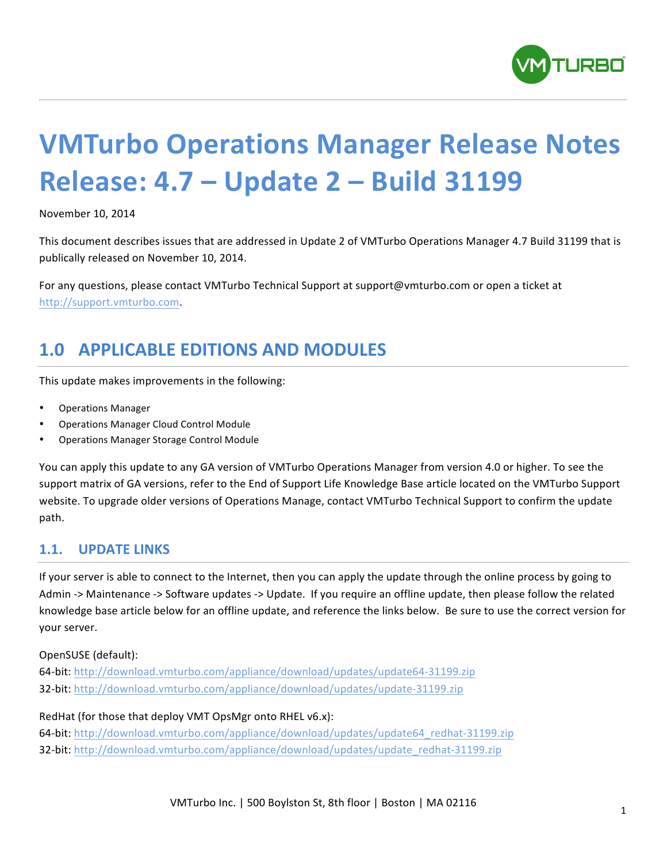

# **VMTurbo Operations Manager Release Notes Release: 4.7 – Update 2 – Build 31199**

November 10, 2014

This document describes issues that are addressed in Update 2 of VMTurbo Operations Manager 4.7 Build 31199 that is publically released on November 10, 2014.

For any questions, please contact VMTurbo Technical Support at support@vmturbo.com or open a ticket at http://support.vmturbo.com. 

# **1.0 APPLICABLE EDITIONS AND MODULES**

This update makes improvements in the following:

- Operations Manager
- Operations Manager Cloud Control Module
- Operations Manager Storage Control Module

You can apply this update to any GA version of VMTurbo Operations Manager from version 4.0 or higher. To see the support matrix of GA versions, refer to the End of Support Life Knowledge Base article located on the VMTurbo Support website. To upgrade older versions of Operations Manage, contact VMTurbo Technical Support to confirm the update path.

## **1.1. UPDATE LINKS**

If your server is able to connect to the Internet, then you can apply the update through the online process by going to Admin -> Maintenance -> Software updates -> Update. If you require an offline update, then please follow the related knowledge base article below for an offline update, and reference the links below. Be sure to use the correct version for your server.

OpenSUSE (default):

64-bit: http://download.vmturbo.com/appliance/download/updates/update64-31199.zip 32-bit: http://download.vmturbo.com/appliance/download/updates/update-31199.zip

RedHat (for those that deploy VMT OpsMgr onto RHEL v6.x):

64-bit: http://download.vmturbo.com/appliance/download/updates/update64\_redhat-31199.zip 32-bit: http://download.vmturbo.com/appliance/download/updates/update\_redhat-31199.zip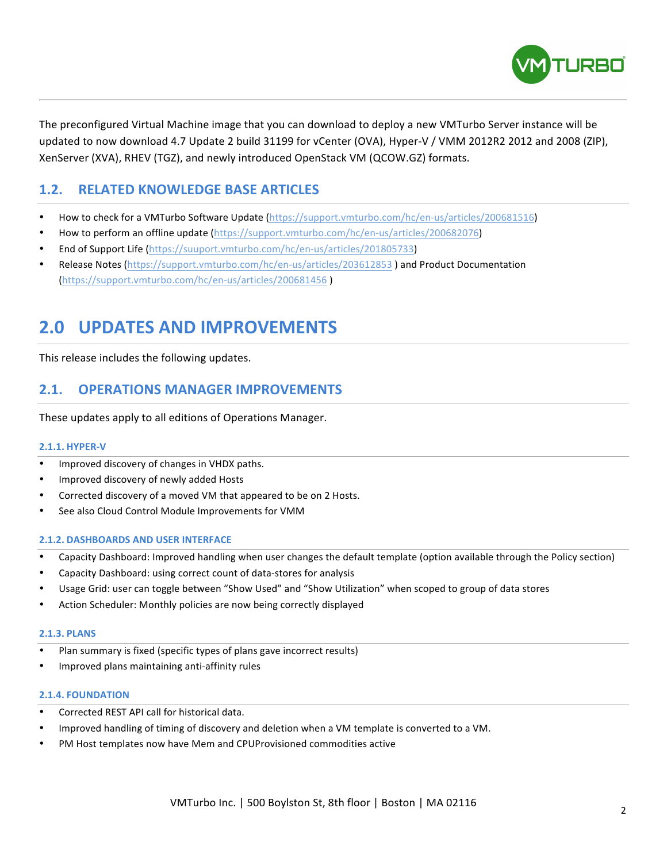

The preconfigured Virtual Machine image that you can download to deploy a new VMTurbo Server instance will be updated to now download 4.7 Update 2 build 31199 for vCenter (OVA), Hyper-V / VMM 2012R2 2012 and 2008 (ZIP), XenServer (XVA), RHEV (TGZ), and newly introduced OpenStack VM (QCOW.GZ) formats.

# **1.2. RELATED KNOWLEDGE BASE ARTICLES**

- How to check for a VMTurbo Software Update (https://support.vmturbo.com/hc/en-us/articles/200681516)
- How to perform an offline update (https://support.vmturbo.com/hc/en-us/articles/200682076)
- End of Support Life (https://suuport.vmturbo.com/hc/en-us/articles/201805733)
- Release Notes (https://support.vmturbo.com/hc/en-us/articles/203612853) and Product Documentation (https://support.vmturbo.com/hc/en-us/articles/200681456 )

# **2.0 UPDATES AND IMPROVEMENTS**

This release includes the following updates.

# **2.1. OPERATIONS MANAGER IMPROVEMENTS**

These updates apply to all editions of Operations Manager.

#### **2.1.1. HYPER-V**

- Improved discovery of changes in VHDX paths.
- Improved discovery of newly added Hosts
- Corrected discovery of a moved VM that appeared to be on 2 Hosts.
- See also Cloud Control Module Improvements for VMM

#### **2.1.2. DASHBOARDS AND USER INTERFACE**

- Capacity Dashboard: Improved handling when user changes the default template (option available through the Policy section)
- Capacity Dashboard: using correct count of data-stores for analysis
- Usage Grid: user can toggle between "Show Used" and "Show Utilization" when scoped to group of data stores
- Action Scheduler: Monthly policies are now being correctly displayed

#### **2.1.3. PLANS**

- Plan summary is fixed (specific types of plans gave incorrect results)
- Improved plans maintaining anti-affinity rules

#### **2.1.4. FOUNDATION**

- Corrected REST API call for historical data.
- Improved handling of timing of discovery and deletion when a VM template is converted to a VM.
- PM Host templates now have Mem and CPUProvisioned commodities active